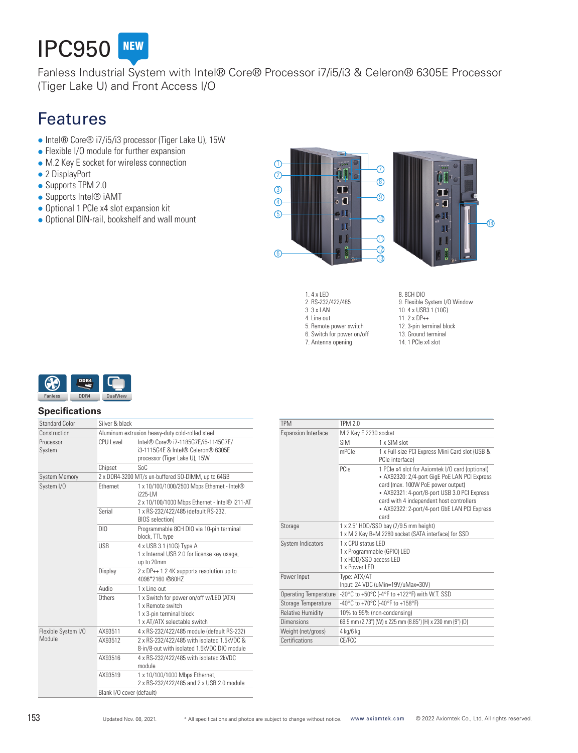

Fanless Industrial System with Intel® Core® Processor i7/i5/i3 & Celeron® 6305E Processor (Tiger Lake U) and Front Access I/O

# Features

- Intel® Core® i7/i5/i3 processor (Tiger Lake U), 15W
- Flexible I/O module for further expansion
- M.2 Key E socket for wireless connection
- 2 DisplayPort
- Supports TPM 2.0
- Supports Intel<sup>®</sup> iAMT
- Optional 1 PCIe x4 slot expansion kit
- Optional DIN-rail, bookshelf and wall mount



- 1. 4 x LED 2. RS-232/422/485 3. 3 x LAN 4. Line out 5. Remote power switch 6. Switch for power on/off 7. Antenna opening
- 8. 8CH DIO 9. Flexible System I/O Window 10. 4 x USB3.1 (10G) 11. 2 x DP++ 12. 3-pin terminal block 13. Ground terminal 14. 1 PCIe x4 slot



#### **Specifications**

| <b>Standard Color</b>         | Silver & black                                     |                                                                                                                          |  |
|-------------------------------|----------------------------------------------------|--------------------------------------------------------------------------------------------------------------------------|--|
| Construction                  | Aluminum extrusion heavy-duty cold-rolled steel    |                                                                                                                          |  |
| Processor<br>System           | CPU Level                                          | Intel® Core® i7-1185G7E/i5-1145G7E/<br>i3-1115G4F & Intel® Celeron® 6305F<br>processor (Tiger Lake U), 15W               |  |
|                               | Chipset                                            | $S_0C$                                                                                                                   |  |
| <b>System Memory</b>          | 2 x DDR4-3200 MT/s un-buffered SO-DIMM, up to 64GB |                                                                                                                          |  |
| System I/O                    | Fthernet                                           | 1 x 10/100/1000/2500 Mbps Ethernet - Intel®<br>$1225 - 1 M$<br>2 x 10/100/1000 Mbps Ethernet - Intel® i211-AT            |  |
|                               | Serial                                             | 1 x RS-232/422/485 (default RS-232,<br><b>BIOS</b> selection)                                                            |  |
|                               | DIO                                                | Programmable 8CH DIO via 10-pin terminal<br>block, TTL type                                                              |  |
|                               | <b>USB</b>                                         | 4 x USB 3.1 (10G) Type A<br>1 x Internal USB 2.0 for license key usage,<br>up to 20mm                                    |  |
|                               | Display                                            | 2 x DP++ 1.2 4K supports resolution up to<br>4096*2160@60H7                                                              |  |
|                               | Audio                                              | $1 \times$ l ine-out                                                                                                     |  |
|                               | Others                                             | 1 x Switch for power on/off w/LED (ATX)<br>1 x Remote switch<br>1 x 3-pin terminal block<br>1 x AT/ATX selectable switch |  |
| Flexible System I/O<br>Module | AX93511                                            | 4 x RS-232/422/485 module (default RS-232)                                                                               |  |
|                               | AX93512                                            | 2 x RS-232/422/485 with isolated 1.5kVDC &<br>8-in/8-out with isolated 1.5kVDC DIO module                                |  |
|                               | AX93516                                            | 4 x RS-232/422/485 with isolated 2kVDC<br>module                                                                         |  |
|                               | AX93519                                            | 1 x 10/100/1000 Mbps Ethernet,<br>2 x RS-232/422/485 and 2 x USB 2.0 module                                              |  |
|                               | Blank I/O cover (default)                          |                                                                                                                          |  |

| <b>TPM</b>                   | <b>TPM 2.0</b>                                                                                 |                                                                                                                                                                                                                                                                                          |  |
|------------------------------|------------------------------------------------------------------------------------------------|------------------------------------------------------------------------------------------------------------------------------------------------------------------------------------------------------------------------------------------------------------------------------------------|--|
| <b>Expansion Interface</b>   | M.2 Key E 2230 socket                                                                          |                                                                                                                                                                                                                                                                                          |  |
|                              | <b>SIM</b>                                                                                     | 1 x SIM slot                                                                                                                                                                                                                                                                             |  |
|                              | mPCle                                                                                          | 1 x Full-size PCI Express Mini Card slot (USB &<br>PCIe interface)                                                                                                                                                                                                                       |  |
|                              | PCle                                                                                           | 1 PCIe x4 slot for Axiomtek I/O card (optional)<br>• AX92320: 2/4-port GigE PoE LAN PCI Express<br>card (max. 100W PoE power output)<br>• AX92321: 4-port/8-port USB 3.0 PCI Express<br>card with 4 independent host controllers<br>• AX92322: 2-port/4-port GbE LAN PCI Express<br>card |  |
| Storage                      | 1 x 2.5" HDD/SSD bay (7/9.5 mm height)<br>1 x M.2 Key B+M 2280 socket (SATA interface) for SSD |                                                                                                                                                                                                                                                                                          |  |
| System Indicators            | 1 x CPU status I FD<br>1 x Programmable (GPIO) LED<br>1 x HDD/SSD access LED<br>1 x Power I FD |                                                                                                                                                                                                                                                                                          |  |
| Power Input                  | Type: ATX/AT                                                                                   | Input: 24 VDC (uMin=19V/uMax=30V)                                                                                                                                                                                                                                                        |  |
| <b>Operating Temperature</b> |                                                                                                | -20°C to +50°C (-4°F to +122°F) with W.T. SSD                                                                                                                                                                                                                                            |  |
| Storage Temperature          |                                                                                                | -40°C to +70°C (-40°F to +158°F)                                                                                                                                                                                                                                                         |  |
| <b>Relative Humidity</b>     | 10% to 95% (non-condensing)                                                                    |                                                                                                                                                                                                                                                                                          |  |
| Dimensions                   |                                                                                                | 69.5 mm (2.73") (W) x 225 mm (8.85") (H) x 230 mm (9") (D)                                                                                                                                                                                                                               |  |
| Weight (net/gross)           | 4 kg/6 kg                                                                                      |                                                                                                                                                                                                                                                                                          |  |
| Certifications               | CE/FCC                                                                                         |                                                                                                                                                                                                                                                                                          |  |